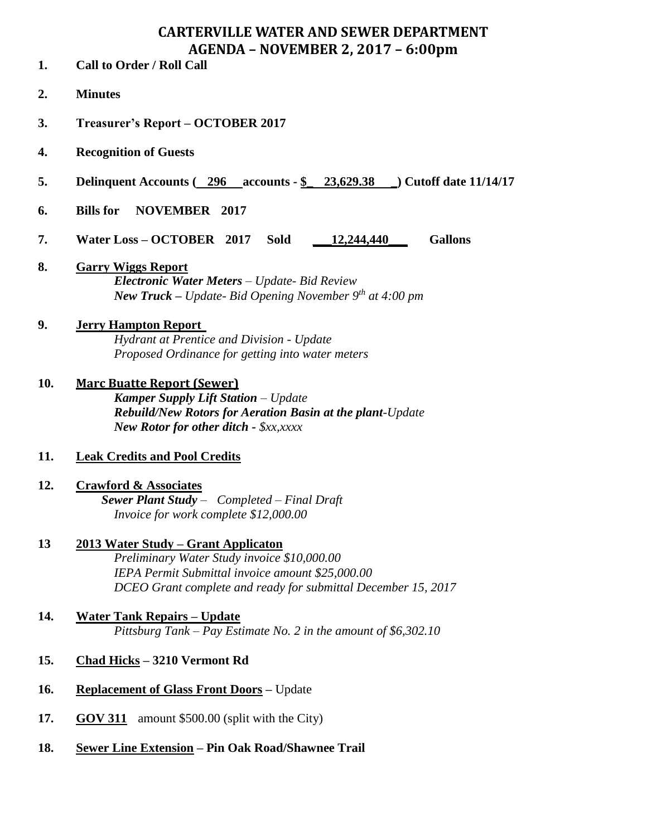# **CARTERVILLE WATER AND SEWER DEPARTMENT AGENDA – NOVEMBER 2, 2017 – 6:00pm**

- **1. Call to Order / Roll Call**
- **2. Minutes**
- **3. Treasurer's Report – OCTOBER 2017**
- **4. Recognition of Guests**
- **5. Delinquent Accounts ( 296 accounts - \$\_ 23,629.38 \_) Cutoff date 11/14/17**
- **6. Bills for NOVEMBER 2017**
- **7. Water Loss – OCTOBER 2017 Sold \_\_\_12,244,440\_\_\_ Gallons**
- **8. Garry Wiggs Report** *Electronic Water Meters – Update- Bid Review New Truck – Update- Bid Opening November 9th at 4:00 pm*

#### **9. Jerry Hampton Report** *Hydrant at Prentice and Division - Update Proposed Ordinance for getting into water meters*

**10. Marc Buatte Report (Sewer)** *Kamper Supply Lift Station – Update Rebuild/New Rotors for Aeration Basin at the plant-Update New Rotor for other ditch - \$xx,xxxx*

# **11. Leak Credits and Pool Credits**

**12. Crawford & Associates**  *Sewer Plant Study – Completed – Final Draft Invoice for work complete \$12,000.00*

### **13 2013 Water Study – Grant Applicaton**

*Preliminary Water Study invoice \$10,000.00 IEPA Permit Submittal invoice amount \$25,000.00 DCEO Grant complete and ready for submittal December 15, 2017*

## **14. Water Tank Repairs – Update** *Pittsburg Tank – Pay Estimate No. 2 in the amount of \$6,302.10*

- **15. Chad Hicks – 3210 Vermont Rd**
- **16. Replacement of Glass Front Doors –** Update
- **17. GOV 311** amount \$500.00 (split with the City)
- **18. Sewer Line Extension – Pin Oak Road/Shawnee Trail**